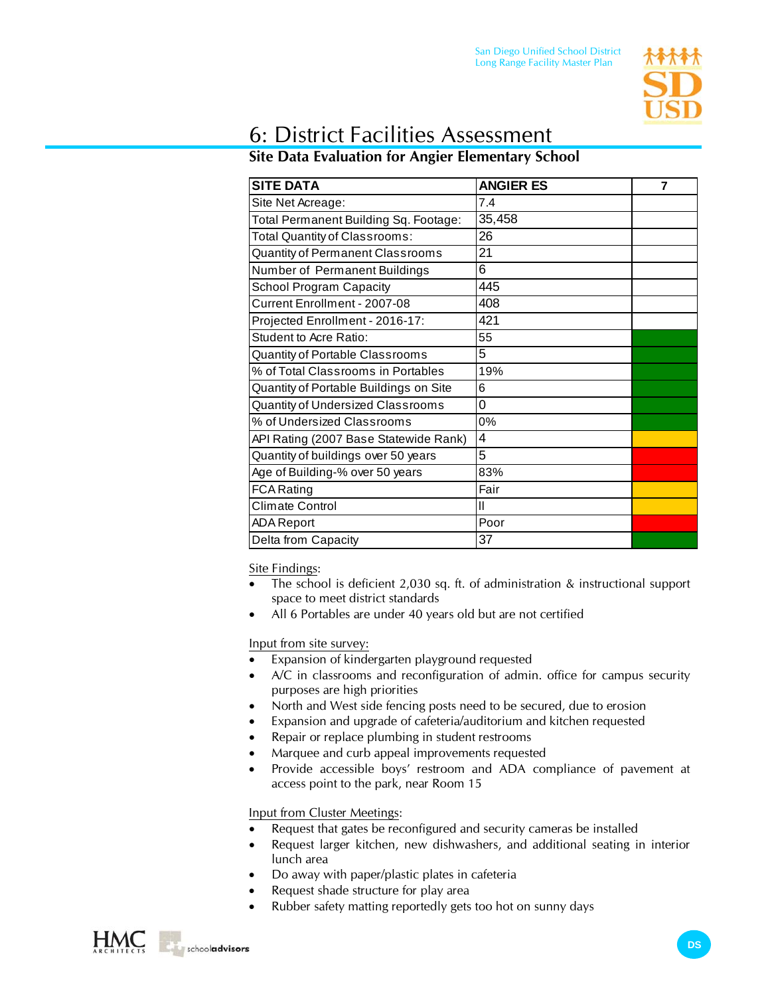

## 6: District Facilities Assessment

## **Site Data Evaluation for Angier Elementary School**

| <b>SITE DATA</b>                       | <b>ANGIER ES</b> | 7 |
|----------------------------------------|------------------|---|
| Site Net Acreage:                      | 7.4              |   |
| Total Permanent Building Sq. Footage:  | 35,458           |   |
| Total Quantity of Classrooms:          | 26               |   |
| Quantity of Permanent Classrooms       | 21               |   |
| Number of Permanent Buildings          | 6                |   |
| <b>School Program Capacity</b>         | 445              |   |
| Current Enrollment - 2007-08           | 408              |   |
| Projected Enrollment - 2016-17:        | 421              |   |
| Student to Acre Ratio:                 | 55               |   |
| Quantity of Portable Classrooms        | 5                |   |
| % of Total Classrooms in Portables     | 19%              |   |
| Quantity of Portable Buildings on Site | 6                |   |
| Quantity of Undersized Classrooms      | 0                |   |
| % of Undersized Classrooms             | 0%               |   |
| API Rating (2007 Base Statewide Rank)  | $\overline{4}$   |   |
| Quantity of buildings over 50 years    | 5                |   |
| Age of Building-% over 50 years        | 83%              |   |
| <b>FCA Rating</b>                      | Fair             |   |
| Climate Control                        | $\mathbf{I}$     |   |
| <b>ADA Report</b>                      | Poor             |   |
| Delta from Capacity                    | 37               |   |

Site Findings:

- The school is deficient 2,030 sq. ft. of administration & instructional support space to meet district standards
- All 6 Portables are under 40 years old but are not certified

Input from site survey:

- Expansion of kindergarten playground requested
- A/C in classrooms and reconfiguration of admin. office for campus security purposes are high priorities
- North and West side fencing posts need to be secured, due to erosion
- Expansion and upgrade of cafeteria/auditorium and kitchen requested
- Repair or replace plumbing in student restrooms
- Marquee and curb appeal improvements requested
- Provide accessible boys' restroom and ADA compliance of pavement at access point to the park, near Room 15

Input from Cluster Meetings:

- Request that gates be reconfigured and security cameras be installed
- Request larger kitchen, new dishwashers, and additional seating in interior lunch area
- Do away with paper/plastic plates in cafeteria
- Request shade structure for play area
- Rubber safety matting reportedly gets too hot on sunny days